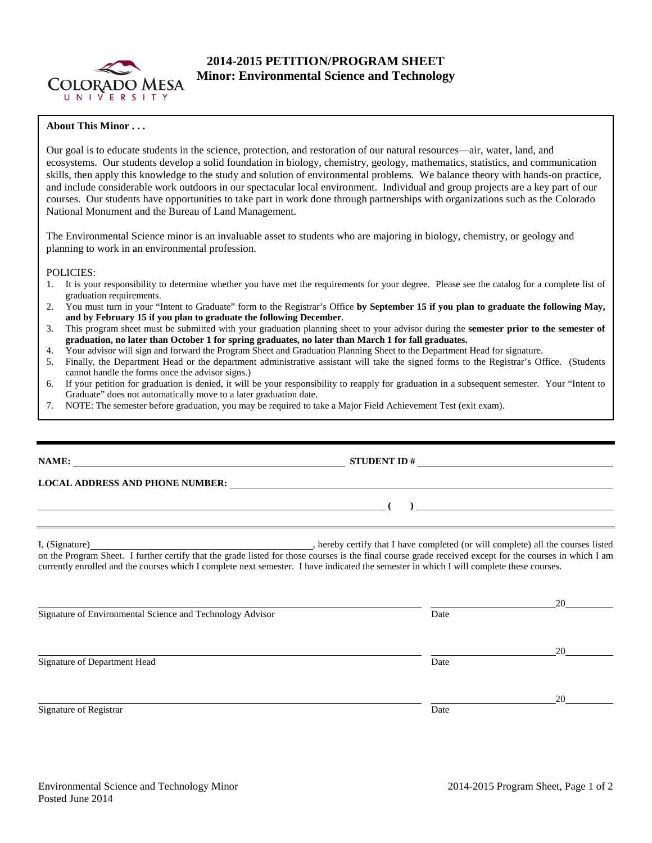

# **2014-2015 PETITION/PROGRAM SHEET Minor: Environmental Science and Technology**

## **About This Minor . . .**

Our goal is to educate students in the science, protection, and restoration of our natural resources—air, water, land, and ecosystems. Our students develop a solid foundation in biology, chemistry, geology, mathematics, statistics, and communication skills, then apply this knowledge to the study and solution of environmental problems. We balance theory with hands-on practice, and include considerable work outdoors in our spectacular local environment. Individual and group projects are a key part of our courses. Our students have opportunities to take part in work done through partnerships with organizations such as the Colorado National Monument and the Bureau of Land Management.

The Environmental Science minor is an invaluable asset to students who are majoring in biology, chemistry, or geology and planning to work in an environmental profession.

POLICIES:

- 1. It is your responsibility to determine whether you have met the requirements for your degree. Please see the catalog for a complete list of graduation requirements.
- 2. You must turn in your "Intent to Graduate" form to the Registrar's Office **by September 15 if you plan to graduate the following May, and by February 15 if you plan to graduate the following December**.
- 3. This program sheet must be submitted with your graduation planning sheet to your advisor during the **semester prior to the semester of graduation, no later than October 1 for spring graduates, no later than March 1 for fall graduates.**
- 4. Your advisor will sign and forward the Program Sheet and Graduation Planning Sheet to the Department Head for signature.
- 5. Finally, the Department Head or the department administrative assistant will take the signed forms to the Registrar's Office. (Students cannot handle the forms once the advisor signs.)
- 6. If your petition for graduation is denied, it will be your responsibility to reapply for graduation in a subsequent semester. Your "Intent to Graduate" does not automatically move to a later graduation date.
- 7. NOTE: The semester before graduation, you may be required to take a Major Field Achievement Test (exit exam).

# **NAME: STUDENT ID #**

## **LOCAL ADDRESS AND PHONE NUMBER:**

**( )** 

I, (Signature) , hereby certify that I have completed (or will complete) all the courses listed on the Program Sheet. I further certify that the grade listed for those courses is the final course grade received except for the courses in which I am currently enrolled and the courses which I complete next semester. I have indicated the semester in which I will complete these courses.

|                                                           |      | 20 |
|-----------------------------------------------------------|------|----|
| Signature of Environmental Science and Technology Advisor | Date |    |
|                                                           |      |    |
|                                                           |      | 20 |
| Signature of Department Head                              | Date |    |
|                                                           |      |    |
|                                                           |      |    |
|                                                           |      | 20 |
| Signature of Registrar                                    | Date |    |
|                                                           |      |    |